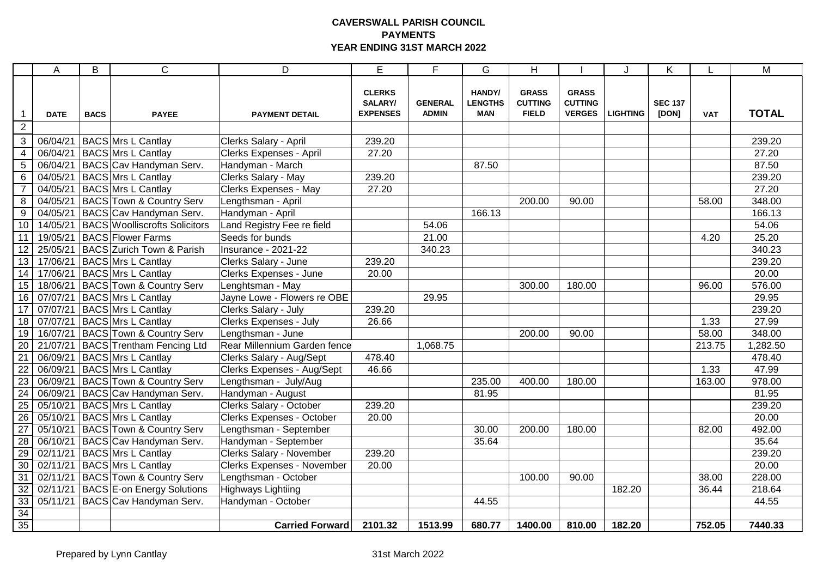## **CAVERSWALL PARISH COUNCIL PAYMENTS YEAR ENDING 31ST MARCH 2022**

|                         | A           | B           | $\mathsf{C}$                               | D                                 | $\overline{E}$                              | F                              | G                                      | H                                              |                                                 |                 | Κ                       |                    | M            |
|-------------------------|-------------|-------------|--------------------------------------------|-----------------------------------|---------------------------------------------|--------------------------------|----------------------------------------|------------------------------------------------|-------------------------------------------------|-----------------|-------------------------|--------------------|--------------|
| $\mathbf{1}$            | <b>DATE</b> | <b>BACS</b> | <b>PAYEE</b>                               | <b>PAYMENT DETAIL</b>             | <b>CLERKS</b><br>SALARY/<br><b>EXPENSES</b> | <b>GENERAL</b><br><b>ADMIN</b> | HANDY/<br><b>LENGTHS</b><br><b>MAN</b> | <b>GRASS</b><br><b>CUTTING</b><br><b>FIELD</b> | <b>GRASS</b><br><b>CUTTING</b><br><b>VERGES</b> | <b>LIGHTING</b> | <b>SEC 137</b><br>[DON] | <b>VAT</b>         | <b>TOTAL</b> |
| $\overline{2}$          |             |             |                                            |                                   |                                             |                                |                                        |                                                |                                                 |                 |                         |                    |              |
| $\mathbf{3}$            | 06/04/21    |             | BACS Mrs L Cantlay                         | Clerks Salary - April             | 239.20                                      |                                |                                        |                                                |                                                 |                 |                         |                    | 239.20       |
| $\overline{\mathbf{4}}$ | 06/04/21    |             | <b>BACS</b> Mrs L Cantlay                  | Clerks Expenses - April           | 27.20                                       |                                |                                        |                                                |                                                 |                 |                         |                    | 27.20        |
| $\overline{5}$          |             |             | 06/04/21 BACS Cav Handyman Serv.           | Handyman - March                  |                                             |                                | 87.50                                  |                                                |                                                 |                 |                         |                    | 87.50        |
| 6                       |             |             | 04/05/21   BACS Mrs L Cantlay              | Clerks Salary - May               | 239.20                                      |                                |                                        |                                                |                                                 |                 |                         |                    | 239.20       |
| $\overline{7}$          | 04/05/21    |             | <b>BACS</b> Mrs L Cantlay                  | Clerks Expenses - May             | 27.20                                       |                                |                                        |                                                |                                                 |                 |                         |                    | 27.20        |
| $\,8\,$                 |             |             | 04/05/21 BACS Town & Country Serv          | Lengthsman - April                |                                             |                                |                                        | 200.00                                         | 90.00                                           |                 |                         | 58.00              | 348.00       |
| 9                       |             |             | 04/05/21 BACS Cav Handyman Serv.           | Handyman - April                  |                                             |                                | 166.13                                 |                                                |                                                 |                 |                         |                    | 166.13       |
| 10                      |             |             | 14/05/21   BACS   Woolliscrofts Solicitors | Land Registry Fee re field        |                                             | 54.06                          |                                        |                                                |                                                 |                 |                         |                    | 54.06        |
| 11                      |             |             | 19/05/21 BACS Flower Farms                 | Seeds for bunds                   |                                             | 21.00                          |                                        |                                                |                                                 |                 |                         | 4.20               | 25.20        |
| 12                      |             |             | 25/05/21 BACS Zurich Town & Parish         | Insurance - 2021-22               |                                             | 340.23                         |                                        |                                                |                                                 |                 |                         |                    | 340.23       |
| 13                      |             |             | 17/06/21 BACS Mrs L Cantlay                | Clerks Salary - June              | 239.20                                      |                                |                                        |                                                |                                                 |                 |                         |                    | 239.20       |
| 14                      | 17/06/21    |             | <b>BACS Mrs L Cantlay</b>                  | Clerks Expenses - June            | 20.00                                       |                                |                                        |                                                |                                                 |                 |                         |                    | 20.00        |
| 15                      | 18/06/21    |             | <b>BACS</b> Town & Country Serv            | Lenghtsman - May                  |                                             |                                |                                        | 300.00                                         | 180.00                                          |                 |                         | 96.00              | 576.00       |
| 16                      | 07/07/21    |             | <b>BACS Mrs L Cantlay</b>                  | Jayne Lowe - Flowers re OBE       |                                             | 29.95                          |                                        |                                                |                                                 |                 |                         |                    | 29.95        |
| 17                      | 07/07/21    |             | <b>BACS</b> Mrs L Cantlay                  | Clerks Salary - July              | 239.20                                      |                                |                                        |                                                |                                                 |                 |                         |                    | 239.20       |
| 18                      |             |             | 07/07/21   BACS Mrs L Cantlay              | Clerks Expenses - July            | 26.66                                       |                                |                                        |                                                |                                                 |                 |                         | 1.33               | 27.99        |
| 19                      |             |             | 16/07/21   BACS Town & Country Serv        | Lengthsman - June                 |                                             |                                |                                        | 200.00                                         | 90.00                                           |                 |                         | 58.00              | 348.00       |
| 20                      | 21/07/21    |             | <b>BACS</b> Trentham Fencing Ltd           | Rear Millennium Garden fence      |                                             | 1,068.75                       |                                        |                                                |                                                 |                 |                         | 213.75             | 1,282.50     |
| $\overline{21}$         |             |             | 06/09/21 BACS Mrs L Cantlay                | Clerks Salary - Aug/Sept          | 478.40                                      |                                |                                        |                                                |                                                 |                 |                         |                    | 478.40       |
| $\overline{22}$         |             |             | 06/09/21 BACS Mrs L Cantlay                | Clerks Expenses - Aug/Sept        | 46.66                                       |                                |                                        |                                                |                                                 |                 |                         | 1.33               | 47.99        |
| $\overline{23}$         |             |             | 06/09/21 BACS Town & Country Serv          | Lengthsman - July/Aug             |                                             |                                | 235.00                                 | 400.00                                         | 180.00                                          |                 |                         | 163.00             | 978.00       |
| $\overline{24}$         |             |             | 06/09/21   BACS Cav Handyman Serv.         | Handyman - August                 |                                             |                                | 81.95                                  |                                                |                                                 |                 |                         |                    | 81.95        |
| $\overline{25}$         |             |             | 05/10/21 BACS Mrs L Cantlay                | Clerks Salary - October           | 239.20                                      |                                |                                        |                                                |                                                 |                 |                         |                    | 239.20       |
| $\overline{26}$         |             |             | 05/10/21 BACS Mrs L Cantlay                | Clerks Expenses - October         | 20.00                                       |                                |                                        |                                                |                                                 |                 |                         |                    | 20.00        |
| 27                      |             |             | 05/10/21 BACS Town & Country Serv          | Lengthsman - September            |                                             |                                | 30.00                                  | 200.00                                         | 180.00                                          |                 |                         | 82.00              | 492.00       |
| 28                      |             |             | 06/10/21 BACS Cav Handyman Serv.           | Handyman - September              |                                             |                                | 35.64                                  |                                                |                                                 |                 |                         |                    | 35.64        |
| 29                      |             |             | 02/11/21   BACS Mrs L Cantlay              | Clerks Salary - November          | 239.20                                      |                                |                                        |                                                |                                                 |                 |                         |                    | 239.20       |
| 30                      |             |             | 02/11/21 BACS Mrs L Cantlay                | <b>Clerks Expenses - November</b> | 20.00                                       |                                |                                        |                                                |                                                 |                 |                         |                    | 20.00        |
| $\overline{31}$         |             |             | 02/11/21 BACS Town & Country Serv          | Lengthsman - October              |                                             |                                |                                        | 100.00                                         | 90.00                                           |                 |                         | 38.00              | 228.00       |
| $\overline{32}$         |             |             | 02/11/21 BACS E-on Energy Solutions        | <b>Highways Lightiing</b>         |                                             |                                |                                        |                                                |                                                 | 182.20          |                         | $36.\overline{44}$ | 218.64       |
| 33                      |             |             | 05/11/21 BACS Cav Handyman Serv.           | Handyman - October                |                                             |                                | 44.55                                  |                                                |                                                 |                 |                         |                    | 44.55        |
| 34                      |             |             |                                            |                                   |                                             |                                |                                        |                                                |                                                 |                 |                         |                    |              |
| 35                      |             |             |                                            | <b>Carried Forward</b>            | 2101.32                                     | 1513.99                        | 680.77                                 | 1400.00                                        | 810.00                                          | 182.20          |                         | 752.05             | 7440.33      |